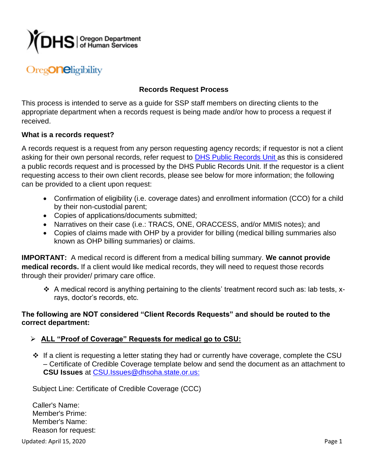

# Oreg**One**ligibility

# **Records Request Process**

This process is intended to serve as a guide for SSP staff members on directing clients to the appropriate department when a records request is being made and/or how to process a request if received.

#### **What is a records request?**

A records request is a request from any person requesting agency records; if requestor is not a client asking for their own personal records, refer request to [DHS Public Records Unit](https://www.oregon.gov/DHS/Pages/RecordRequests.aspx) as this is considered a public records request and is processed by the DHS Public Records Unit. If the requestor is a client requesting access to their own client records, please see below for more information; the following can be provided to a client upon request:

- Confirmation of eligibility (i.e. coverage dates) and enrollment information (CCO) for a child by their non-custodial parent;
- Copies of applications/documents submitted;
- Narratives on their case (i.e.: TRACS, ONE, ORACCESS, and/or MMIS notes); and
- Copies of claims made with OHP by a provider for billing (medical billing summaries also known as OHP billing summaries) or claims.

**IMPORTANT:** A medical record is different from a medical billing summary. **We cannot provide medical records.** If a client would like medical records, they will need to request those records through their provider/ primary care office.

❖ A medical record is anything pertaining to the clients' treatment record such as: lab tests, xrays, doctor's records, etc.

## **The following are NOT considered "Client Records Requests" and should be routed to the correct department:**

## ➢ **ALL "Proof of Coverage" Requests for medical go to CSU:**

❖ If a client is requesting a letter stating they had or currently have coverage, complete the CSU – Certificate of Credible Coverage template below and send the document as an attachment to **CSU Issues** at [CSU.Issues@dhsoha.state.or.us:](mailto:CSU%20Issues%20%3cCSU.Issues@dhsoha.state.or.us%3e)

Subject Line: Certificate of Credible Coverage (CCC)

Caller's Name: Member's Prime: Member's Name: Reason for request:

Updated: April 15, 2020 Page 1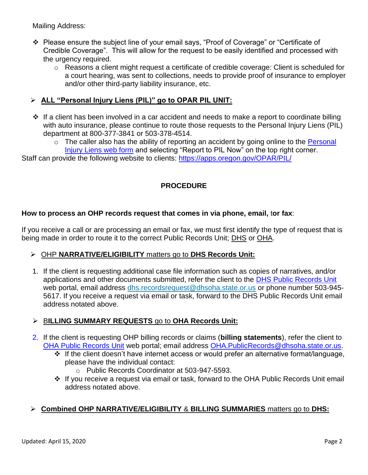Mailing Address:

- ❖ Please ensure the subject line of your email says, "Proof of Coverage" or "Certificate of Credible Coverage". This will allow for the request to be easily identified and processed with the urgency required.
	- o Reasons a client might request a certificate of credible coverage: Client is scheduled for a court hearing, was sent to collections, needs to provide proof of insurance to employer and/or other third-party liability insurance, etc.

## ➢ **ALL "Personal Injury Liens (PIL)" go to OPAR PIL UNIT:**

- ❖ If a client has been involved in a car accident and needs to make a report to coordinate billing with auto insurance, please continue to route those requests to the Personal Injury Liens (PIL) department at 800-377-3841 or 503-378-4514.
	- $\circ$  The caller also has the ability of reporting an accident by going online to the Personal [Injury Liens web form](https://www.oregon.gov/dhs/business-services/opar/pages/faq-pil.aspx) and selecting "Report to PIL Now" on the top right corner.

Staff can provide the following website to clients:<https://apps.oregon.gov/OPAR/PIL/>

# **PROCEDURE**

#### **How to process an OHP records request that comes in via phone, email,** t**or fax**:

If you receive a call or are processing an email or fax, we must first identify the type of request that is being made in order to route it to the correct Public Records Unit; DHS or OHA.

## ➢ OHP **NARRATIVE/ELIGIBILITY** matters go to **DHS Records Unit:**

1. If the client is requesting additional case file information such as copies of narratives, and/or applications and other documents submitted, refer the client to the [DHS Public Records Unit](https://www.oregon.gov/DHS/Pages/RecordRequests.aspx) web portal, email address [dhs.recordsrequest@dhsoha.state.or.us](mailto:dhs.recordsrequest@dhsoha.state.or.us) or phone number 503-945- 5617. If you receive a request via email or task, forward to the DHS Public Records Unit email address notated above.

## ➢ B**ILLING SUMMARY REQUESTS** go to **OHA Records Unit:**

- 2. If the client is requesting OHP billing records or claims (**billing statements**), refer the client to [OHA Public Records Unit](https://www.oregon.gov/oha/ERD/Pages/Records.aspx) web portal; email address [OHA.PublicRecords@dhsoha.state.or.us.](mailto:OHA.PublicRecords@dhsoha.state.or.us)
	- ❖ If the client doesn't have internet access or would prefer an alternative format/language, please have the individual contact:
		- o Public Records Coordinator at 503-947-5593.
	- ❖ If you receive a request via email or task, forward to the OHA Public Records Unit email address notated above.

## ➢ **Combined OHP NARRATIVE/ELIGIBILITY** & **BILLING SUMMARIES** matters go to **DHS:**